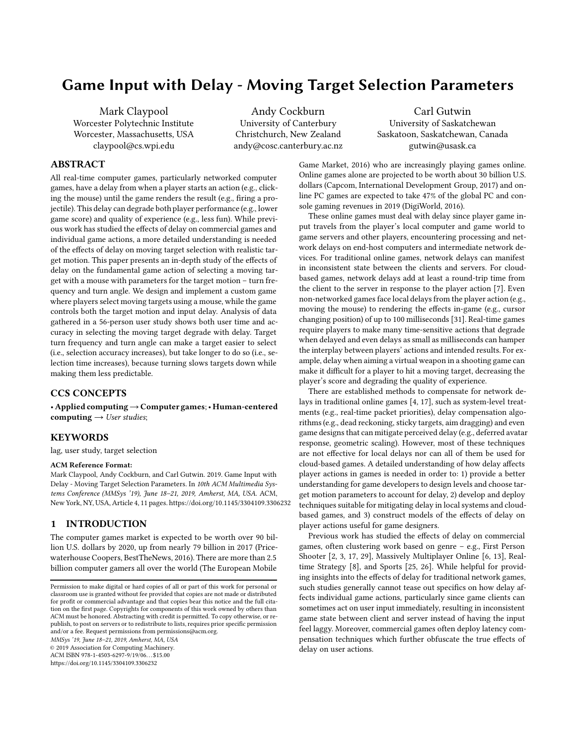# Game Input with Delay - Moving Target Selection Parameters

Mark Claypool Worcester Polytechnic Institute Worcester, Massachusetts, USA claypool@cs.wpi.edu

Andy Cockburn University of Canterbury Christchurch, New Zealand andy@cosc.canterbury.ac.nz

Carl Gutwin University of Saskatchewan Saskatoon, Saskatchewan, Canada gutwin@usask.ca

# ABSTRACT

All real-time computer games, particularly networked computer games, have a delay from when a player starts an action (e.g., clicking the mouse) until the game renders the result (e.g., firing a projectile). This delay can degrade both player performance (e.g., lower game score) and quality of experience (e.g., less fun). While previous work has studied the effects of delay on commercial games and individual game actions, a more detailed understanding is needed of the effects of delay on moving target selection with realistic target motion. This paper presents an in-depth study of the effects of delay on the fundamental game action of selecting a moving target with a mouse with parameters for the target motion – turn frequency and turn angle. We design and implement a custom game where players select moving targets using a mouse, while the game controls both the target motion and input delay. Analysis of data gathered in a 56-person user study shows both user time and accuracy in selecting the moving target degrade with delay. Target turn frequency and turn angle can make a target easier to select (i.e., selection accuracy increases), but take longer to do so (i.e., selection time increases), because turning slows targets down while making them less predictable.

# CCS CONCEPTS

• Applied computing→Computer games; • Human-centered computing  $\rightarrow$  User studies;

### **KEYWORDS**

lag, user study, target selection

### ACM Reference Format:

Mark Claypool, Andy Cockburn, and Carl Gutwin. 2019. Game Input with Delay - Moving Target Selection Parameters. In 10th ACM Multimedia Systems Conference (MMSys '19), June 18–21, 2019, Amherst, MA, USA. ACM, New York, NY, USA, Article 4, [11](#page-10-0) pages.<https://doi.org/10.1145/3304109.3306232>

### 1 INTRODUCTION

The computer games market is expected to be worth over 90 billion U.S. dollars by 2020, up from nearly 79 billion in 2017 (Pricewaterhouse Coopers, BestTheNews, 2016). There are more than 2.5 billion computer gamers all over the world (The European Mobile

MMSys '19, June 18–21, 2019, Amherst, MA, USA

© 2019 Association for Computing Machinery.

ACM ISBN 978-1-4503-6297-9/19/06. . . \$15.00 <https://doi.org/10.1145/3304109.3306232>

Game Market, 2016) who are increasingly playing games online. Online games alone are projected to be worth about 30 billion U.S. dollars (Capcom, International Development Group, 2017) and online PC games are expected to take 47% of the global PC and console gaming revenues in 2019 (DigiWorld, 2016).

These online games must deal with delay since player game input travels from the player's local computer and game world to game servers and other players, encountering processing and network delays on end-host computers and intermediate network devices. For traditional online games, network delays can manifest in inconsistent state between the clients and servers. For cloudbased games, network delays add at least a round-trip time from the client to the server in response to the player action [\[7](#page-10-1)]. Even non-networked games face local delays from the player action (e.g., moving the mouse) to rendering the effects in-game (e.g., cursor changing position) of up to 100 milliseconds [\[31](#page-10-2)]. Real-time games require players to make many time-sensitive actions that degrade when delayed and even delays as small as milliseconds can hamper the interplay between players' actions and intended results. For example, delay when aiming a virtual weapon in a shooting game can make it difficult for a player to hit a moving target, decreasing the player's score and degrading the quality of experience.

There are established methods to compensate for network delays in traditional online games [\[4,](#page-10-3) [17\]](#page-10-4), such as system-level treatments (e.g., real-time packet priorities), delay compensation algorithms (e.g., dead reckoning, sticky targets, aim dragging) and even game designs that can mitigate perceived delay (e.g., deferred avatar response, geometric scaling). However, most of these techniques are not effective for local delays nor can all of them be used for cloud-based games. A detailed understanding of how delay affects player actions in games is needed in order to: 1) provide a better understanding for game developers to design levels and choose target motion parameters to account for delay, 2) develop and deploy techniques suitable for mitigating delay in local systems and cloudbased games, and 3) construct models of the effects of delay on player actions useful for game designers.

Previous work has studied the effects of delay on commercial games, often clustering work based on genre – e.g., First Person Shooter [\[2,](#page-10-5) [3,](#page-10-6) [17,](#page-10-4) [29\]](#page-10-7), Massively Multiplayer Online [\[6,](#page-10-8) [13\]](#page-10-9), Realtime Strategy [\[8\]](#page-10-10), and Sports [\[25](#page-10-11), [26\]](#page-10-12). While helpful for providing insights into the effects of delay for traditional network games, such studies generally cannot tease out specifics on how delay affects individual game actions, particularly since game clients can sometimes act on user input immediately, resulting in inconsistent game state between client and server instead of having the input feel laggy. Moreover, commercial games often deploy latency compensation techniques which further obfuscate the true effects of delay on user actions.

Permission to make digital or hard copies of all or part of this work for personal or classroom use is granted without fee provided that copies are not made or distributed for profit or commercial advantage and that copies bear this notice and the full citation on the first page. Copyrights for components of this work owned by others than ACM must be honored. Abstracting with credit is permitted. To copy otherwise, or republish, to post on servers or to redistribute to lists, requires prior specific permission and/or a fee. Request permissions from permissions@acm.org.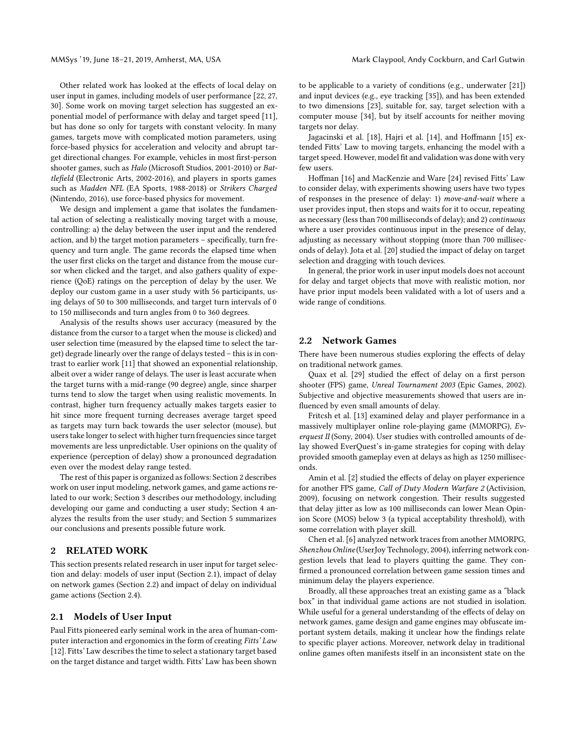Other related work has looked at the effects of local delay on user input in games, including models of user performance [\[22,](#page-10-13) [27](#page-10-14), [30](#page-10-15)]. Some work on moving target selection has suggested an exponential model of performance with delay and target speed [\[11\]](#page-10-16), but has done so only for targets with constant velocity. In many games, targets move with complicated motion parameters, using force-based physics for acceleration and velocity and abrupt target directional changes. For example, vehicles in most first-person shooter games, such as Halo (Microsoft Studios, 2001-2010) or Battlefield (Electronic Arts, 2002-2016), and players in sports games such as Madden NFL (EA Sports, 1988-2018) or Strikers Charged (Nintendo, 2016), use force-based physics for movement.

We design and implement a game that isolates the fundamental action of selecting a realistically moving target with a mouse, controlling: a) the delay between the user input and the rendered action, and b) the target motion parameters – specifically, turn frequency and turn angle. The game records the elapsed time when the user first clicks on the target and distance from the mouse cursor when clicked and the target, and also gathers quality of experience (QoE) ratings on the perception of delay by the user. We deploy our custom game in a user study with 56 participants, using delays of 50 to 300 milliseconds, and target turn intervals of 0 to 150 milliseconds and turn angles from 0 to 360 degrees.

Analysis of the results shows user accuracy (measured by the distance from the cursor to a target when the mouse is clicked) and user selection time (measured by the elapsed time to select the target) degrade linearly over the range of delays tested – this is in contrast to earlier work [\[11\]](#page-10-16) that showed an exponential relationship, albeit over a wider range of delays. The user is least accurate when the target turns with a mid-range (90 degree) angle, since sharper turns tend to slow the target when using realistic movements. In contrast, higher turn frequency actually makes targets easier to hit since more frequent turning decreases average target speed as targets may turn back towards the user selector (mouse), but users take longer to select with higher turn frequencies since target movements are less unpredictable. User opinions on the quality of experience (perception of delay) show a pronounced degradation even over the modest delay range tested.

The rest of this paper is organized as follows: Section [2](#page-1-0) describes work on user input modeling, network games, and game actions related to our work; Section [3](#page-2-0) describes our methodology, including developing our game and conducting a user study; Section [4](#page-5-0) analyzes the results from the user study; and Section [5](#page-9-0) summarizes our conclusions and presents possible future work.

### <span id="page-1-0"></span>2 RELATED WORK

This section presents related research in user input for target selection and delay: models of user input (Section [2.1\)](#page-1-1), impact of delay on network games (Section [2.2\)](#page-1-2) and impact of delay on individual game actions (Section [2.4\)](#page-2-1).

### <span id="page-1-1"></span>2.1 Models of User Input

Paul Fitts pioneered early seminal work in the area of human-computer interaction and ergonomics in the form of creating Fitts' Law [\[12](#page-10-17)]. Fitts' Law describes the time to select a stationary target based on the target distance and target width. Fitts' Law has been shown

to be applicable to a variety of conditions (e.g., underwater [\[21\]](#page-10-18)) and input devices (e.g., eye tracking [\[35\]](#page-10-19)), and has been extended to two dimensions [\[23\]](#page-10-20), suitable for, say, target selection with a computer mouse [\[34\]](#page-10-21), but by itself accounts for neither moving targets nor delay.

Jagacinski et al. [\[18\]](#page-10-22), Hajri et al. [\[14\]](#page-10-23), and Hoffmann [\[15\]](#page-10-24) extended Fitts' Law to moving targets, enhancing the model with a target speed. However, model fit and validation was done with very few users.

Hoffman [\[16](#page-10-25)] and MacKenzie and Ware [\[24\]](#page-10-26) revised Fitts' Law to consider delay, with experiments showing users have two types of responses in the presence of delay: 1) move-and-wait where a user provides input, then stops and waits for it to occur, repeating as necessary (less than 700 milliseconds of delay); and 2) continuous where a user provides continuous input in the presence of delay, adjusting as necessary without stopping (more than 700 milliseconds of delay). Jota et al. [\[20\]](#page-10-27) studied the impact of delay on target selection and dragging with touch devices.

In general, the prior work in user input models does not account for delay and target objects that move with realistic motion, nor have prior input models been validated with a lot of users and a wide range of conditions.

# <span id="page-1-2"></span>2.2 Network Games

There have been numerous studies exploring the effects of delay on traditional network games.

Quax et al. [\[29\]](#page-10-7) studied the effect of delay on a first person shooter (FPS) game, Unreal Tournament 2003 (Epic Games, 2002). Subjective and objective measurements showed that users are influenced by even small amounts of delay.

Fritcsh et al. [\[13\]](#page-10-9) examined delay and player performance in a massively multiplayer online role-playing game (MMORPG), Everquest II (Sony, 2004). User studies with controlled amounts of delay showed EverQuest's in-game strategies for coping with delay provided smooth gameplay even at delays as high as 1250 milliseconds.

Amin et al. [\[2\]](#page-10-5) studied the effects of delay on player experience for another FPS game, Call of Duty Modern Warfare 2 (Activision, 2009), focusing on network congestion. Their results suggested that delay jitter as low as 100 milliseconds can lower Mean Opinion Score (MOS) below 3 (a typical acceptability threshold), with some correlation with player skill.

Chen et al. [\[6](#page-10-8)] analyzed network traces from another MMORPG, Shenzhou Online (UserJoy Technology, 2004), inferring network congestion levels that lead to players quitting the game. They confirmed a pronounced correlation between game session times and minimum delay the players experience.

Broadly, all these approaches treat an existing game as a "black box" in that individual game actions are not studied in isolation. While useful for a general understanding of the effects of delay on network games, game design and game engines may obfuscate important system details, making it unclear how the findings relate to specific player actions. Moreover, network delay in traditional online games often manifests itself in an inconsistent state on the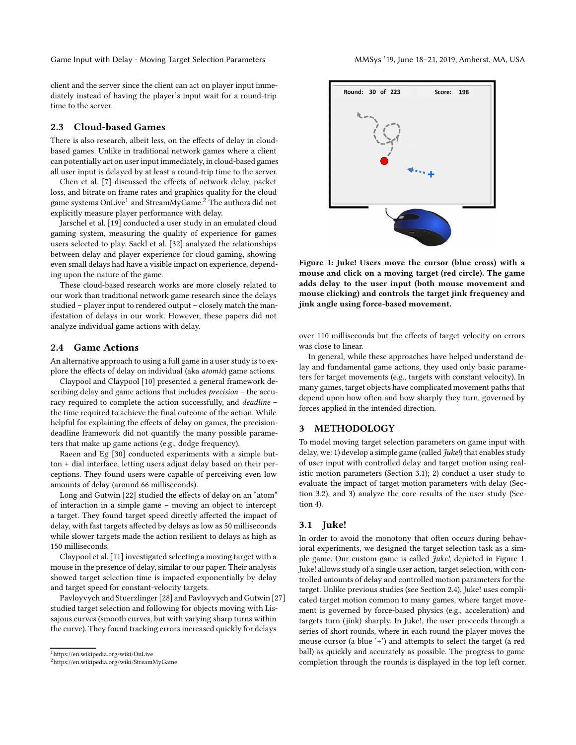Game Input with Delay - Moving Target Selection Parameters MAGys '19, June 18-21, 2019, Amherst, MA, USA

client and the server since the client can act on player input immediately instead of having the player's input wait for a round-trip time to the server.

# 2.3 Cloud-based Games

There is also research, albeit less, on the effects of delay in cloudbased games. Unlike in traditional network games where a client can potentially act on user input immediately, in cloud-based games all user input is delayed by at least a round-trip time to the server.

Chen et al. [\[7\]](#page-10-1) discussed the effects of network delay, packet loss, and bitrate on frame rates and graphics quality for the cloud game systems OnLive<sup>[1](#page-2-2)</sup> and StreamMyGame.<sup>[2](#page-2-3)</sup> The authors did not explicitly measure player performance with delay.

Jarschel et al. [\[19\]](#page-10-28) conducted a user study in an emulated cloud gaming system, measuring the quality of experience for games users selected to play. Sackl et al. [\[32\]](#page-10-29) analyzed the relationships between delay and player experience for cloud gaming, showing even small delays had have a visible impact on experience, depending upon the nature of the game.

These cloud-based research works are more closely related to our work than traditional network game research since the delays studied – player input to rendered output – closely match the manifestation of delays in our work. However, these papers did not analyze individual game actions with delay.

### <span id="page-2-1"></span>2.4 Game Actions

An alternative approach to using a full game in a user study is to explore the effects of delay on individual (aka atomic) game actions.

Claypool and Claypool [\[10\]](#page-10-30) presented a general framework describing delay and game actions that includes precision – the accuracy required to complete the action successfully, and deadline – the time required to achieve the final outcome of the action. While helpful for explaining the effects of delay on games, the precisiondeadline framework did not quantify the many possible parameters that make up game actions (e.g., dodge frequency).

Raeen and Eg [\[30](#page-10-15)] conducted experiments with a simple button + dial interface, letting users adjust delay based on their perceptions. They found users were capable of perceiving even low amounts of delay (around 66 milliseconds).

Long and Gutwin [\[22\]](#page-10-13) studied the effects of delay on an "atom" of interaction in a simple game – moving an object to intercept a target. They found target speed directly affected the impact of delay, with fast targets affected by delays as low as 50 milliseconds while slower targets made the action resilient to delays as high as 150 milliseconds.

Claypool et al. [\[11\]](#page-10-16) investigated selecting a moving target with a mouse in the presence of delay, similar to our paper. Their analysis showed target selection time is impacted exponentially by delay and target speed for constant-velocity targets.

Pavloyvych and Stuerzlinger [\[28\]](#page-10-31) and Pavloyvych and Gutwin [\[27](#page-10-14)] studied target selection and following for objects moving with Lissajous curves (smooth curves, but with varying sharp turns within the curve). They found tracking errors increased quickly for delays

<span id="page-2-5"></span>

Figure 1: Juke! Users move the cursor (blue cross) with a mouse and click on a moving target (red circle). The game adds delay to the user input (both mouse movement and mouse clicking) and controls the target jink frequency and jink angle using force-based movement.

over 110 milliseconds but the effects of target velocity on errors was close to linear.

In general, while these approaches have helped understand delay and fundamental game actions, they used only basic parameters for target movements (e.g., targets with constant velocity). In many games, target objects have complicated movement paths that depend upon how often and how sharply they turn, governed by forces applied in the intended direction.

# <span id="page-2-0"></span>3 METHODOLOGY

To model moving target selection parameters on game input with delay, we: 1) develop a simple game (called *Juke!*) that enables study of user input with controlled delay and target motion using realistic motion parameters (Section [3.1\)](#page-2-4); 2) conduct a user study to evaluate the impact of target motion parameters with delay (Section [3.2\)](#page-4-0), and 3) analyze the core results of the user study (Section [4\)](#page-5-0).

# <span id="page-2-4"></span>3.1 Juke!

In order to avoid the monotony that often occurs during behavioral experiments, we designed the target selection task as a simple game. Our custom game is called Juke!, depicted in Figure [1.](#page-2-5) Juke! allows study of a single user action, target selection, with controlled amounts of delay and controlled motion parameters for the target. Unlike previous studies (see Section [2.4\)](#page-2-1), Juke! uses complicated target motion common to many games, where target movement is governed by force-based physics (e.g., acceleration) and targets turn (jink) sharply. In Juke!, the user proceeds through a series of short rounds, where in each round the player moves the mouse cursor (a blue '+') and attempts to select the target (a red ball) as quickly and accurately as possible. The progress to game completion through the rounds is displayed in the top left corner.

 $^{\rm 1}$ <https://en.wikipedia.org/wiki/OnLive>

<span id="page-2-3"></span><span id="page-2-2"></span> $2$ <https://en.wikipedia.org/wiki/StreamMyGame>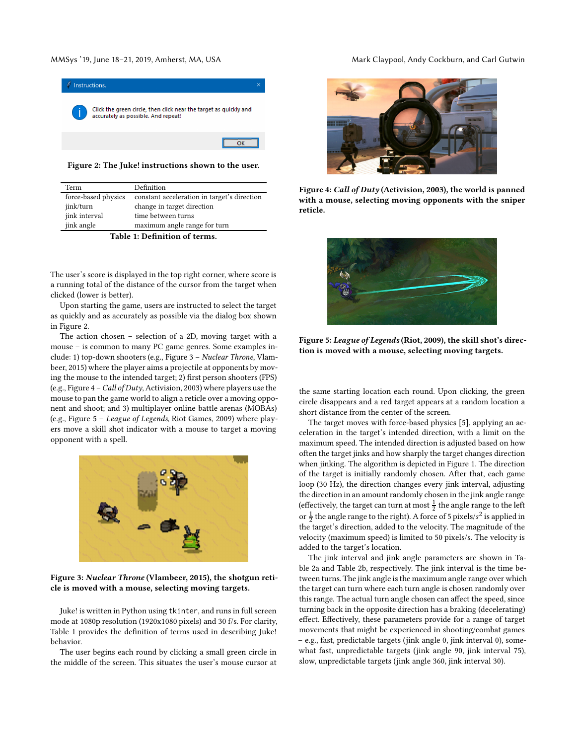### <span id="page-3-0"></span>MMSys '19, June 18-21, 2019, Amherst, MA, USA Mark Claypool, Andy Cockburn, and Carl Gutwin



Figure 2: The Juke! instructions shown to the user.

<span id="page-3-4"></span>

| Term                          | Definition                                  |  |
|-------------------------------|---------------------------------------------|--|
| force-based physics           | constant acceleration in target's direction |  |
| jink/turn                     | change in target direction                  |  |
| jink interval                 | time between turns                          |  |
| jink angle                    | maximum angle range for turn                |  |
| Table 1: Definition of terms. |                                             |  |

The user's score is displayed in the top right corner, where score is a running total of the distance of the cursor from the target when clicked (lower is better).

Upon starting the game, users are instructed to select the target as quickly and as accurately as possible via the dialog box shown in Figure [2.](#page-3-0)

The action chosen – selection of a 2D, moving target with a mouse – is common to many PC game genres. Some examples include: 1) top-down shooters (e.g., Figure [3](#page-3-1) – Nuclear Throne, Vlambeer, 2015) where the player aims a projectile at opponents by moving the mouse to the intended target; 2) first person shooters (FPS) (e.g., Figure [4](#page-3-2) – Call of Duty, Activision, 2003) where players use the mouse to pan the game world to align a reticle over a moving opponent and shoot; and 3) multiplayer online battle arenas (MOBAs) (e.g., Figure [5](#page-3-3) – League of Legends, Riot Games, 2009) where players move a skill shot indicator with a mouse to target a moving opponent with a spell.

<span id="page-3-1"></span>

Figure 3: Nuclear Throne (Vlambeer, 2015), the shotgun reticle is moved with a mouse, selecting moving targets.

Juke! is written in Python using tkinter, and runs in full screen mode at 1080p resolution (1920x1080 pixels) and 30 f/s. For clarity, Table [1](#page-3-4) provides the definition of terms used in describing Juke! behavior.

The user begins each round by clicking a small green circle in the middle of the screen. This situates the user's mouse cursor at

<span id="page-3-2"></span>

Figure 4: Call of Duty (Activision, 2003), the world is panned with a mouse, selecting moving opponents with the sniper reticle.

<span id="page-3-3"></span>

Figure 5: League of Legends (Riot, 2009), the skill shot's direction is moved with a mouse, selecting moving targets.

the same starting location each round. Upon clicking, the green circle disappears and a red target appears at a random location a short distance from the center of the screen.

The target moves with force-based physics [\[5](#page-10-32)], applying an acceleration in the target's intended direction, with a limit on the maximum speed. The intended direction is adjusted based on how often the target jinks and how sharply the target changes direction when jinking. The algorithm is depicted in Figure [1.](#page-4-1) The direction of the target is initially randomly chosen. After that, each game loop (30 Hz), the direction changes every jink interval, adjusting the direction in an amount randomly chosen in the jink angle range (effectively, the target can turn at most  $\frac{1}{2}$  the angle range to the left or  $\frac{1}{2}$  the angle range to the right). A force of 5 pixels/s<sup>2</sup> is applied in the target's direction, added to the velocity. The magnitude of the velocity (maximum speed) is limited to 50 pixels/s. The velocity is added to the target's location.

The jink interval and jink angle parameters are shown in Table [2a](#page-4-2) and Table [2b,](#page-4-2) respectively. The jink interval is the time between turns. The jink angle is the maximum angle range over which the target can turn where each turn angle is chosen randomly over this range. The actual turn angle chosen can affect the speed, since turning back in the opposite direction has a braking (decelerating) effect. Effectively, these parameters provide for a range of target movements that might be experienced in shooting/combat games – e.g., fast, predictable targets (jink angle 0, jink interval 0), somewhat fast, unpredictable targets (jink angle 90, jink interval 75), slow, unpredictable targets (jink angle 360, jink interval 30).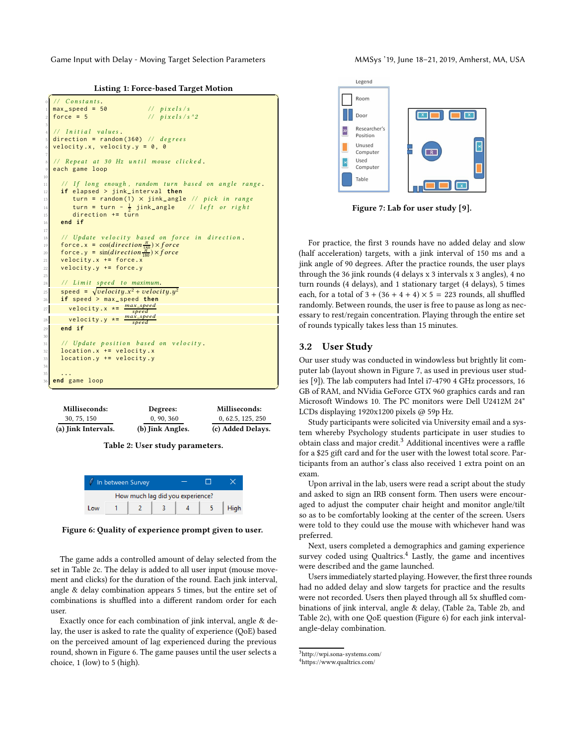<span id="page-4-1"></span>Game Input with Delay - Moving Target Selection Parameters MAGys '19, June 18–21, 2019, Amherst, MA, USA

Listing 1: Force-based Target Motion

```
Constants.
   1 max _speed = 50 / / p i x e l s / s
   force = 5 // pixels / s^23
      Initial values.
   direction = random (360) // degrees
  6 velocity .x , velocity .y = 0 , 0
 7
   // Repeat at 30 Hz until mouse clicked.
  each game loop
10
        1f long enough, random turn based on angle range.
     12 if elapsed > jink_ interval then
         turn = random (1) × jink_angle // pick in range
14 turn = turn - \frac{1}{2} jink_angle // left or right
         15 direction += turn
     16 end if
17
18 // Update velocity based on force in direction.
force.x = cos(direction \frac{\pi}{180}) \times force\int_{20} force.y = \sin(direction \frac{\pi}{180}) \times force21 velocity .x += force.x
22 velocity .y += force.y
23
24 // Limit speed to maximum.
\begin{array}{rcl} \text{speed} & = & \sqrt{velocity.x^2 + velocity.y^2} \end{array}26 if speed > max _ speed then
27 velocity x \star = \frac{max\_speed}{speed}spe ed
28 velocity .y *=
max_spe ed
spe ed
29 end if
30
31 // Update position based on velocity.
32 location .x += velocity .x
33 location .y += velocity .y
34
35 . ..
   36 end game loop
  \sqrt{2\pi} \sqrt{2\pi} \sqrt{2\pi} \sqrt{2\pi}
```
<span id="page-4-2"></span>

| <b>Milliseconds:</b> | Degrees:         | Milliseconds:     |
|----------------------|------------------|-------------------|
| 30, 75, 150          | 0, 90, 360       | 0, 62.5, 125, 250 |
| (a) Jink Intervals.  | (b) Jink Angles. | (c) Added Delays. |

Table 2: User study parameters.

<span id="page-4-3"></span>

Figure 6: Quality of experience prompt given to user.

The game adds a controlled amount of delay selected from the set in Table [2c.](#page-4-2) The delay is added to all user input (mouse movement and clicks) for the duration of the round. Each jink interval, angle & delay combination appears 5 times, but the entire set of combinations is shuffled into a different random order for each user.

Exactly once for each combination of jink interval, angle & delay, the user is asked to rate the quality of experience (QoE) based on the perceived amount of lag experienced during the previous round, shown in Figure [6.](#page-4-3) The game pauses until the user selects a choice, 1 (low) to 5 (high).

<span id="page-4-4"></span>

Figure 7: Lab for user study [\[9\]](#page-10-33).

For practice, the first 3 rounds have no added delay and slow (half acceleration) targets, with a jink interval of 150 ms and a jink angle of 90 degrees. After the practice rounds, the user plays through the 36 jink rounds (4 delays x 3 intervals x 3 angles), 4 no turn rounds (4 delays), and 1 stationary target (4 delays), 5 times each, for a total of  $3 + (36 + 4 + 4) \times 5 = 223$  rounds, all shuffled randomly. Between rounds, the user is free to pause as long as necessary to rest/regain concentration. Playing through the entire set of rounds typically takes less than 15 minutes.

### <span id="page-4-0"></span>3.2 User Study

Our user study was conducted in windowless but brightly lit computer lab (layout shown in Figure [7,](#page-4-4) as used in previous user studies [\[9\]](#page-10-33)). The lab computers had Intel i7-4790 4 GHz processors, 16 GB of RAM, and NVidia GeForce GTX 960 graphics cards and ran Microsoft Windows 10. The PC monitors were Dell U2412M 24" LCDs displaying 1920x1200 pixels @ 59p Hz.

Study participants were solicited via University email and a system whereby Psychology students participate in user studies to obtain class and major credit.<sup>[3](#page-4-5)</sup> Additional incentives were a raffle for a \$25 gift card and for the user with the lowest total score. Participants from an author's class also received 1 extra point on an exam.

Upon arrival in the lab, users were read a script about the study and asked to sign an IRB consent form. Then users were encouraged to adjust the computer chair height and monitor angle/tilt so as to be comfortably looking at the center of the screen. Users were told to they could use the mouse with whichever hand was preferred.

Next, users completed a demographics and gaming experience survey coded using Qualtrics. $4$  Lastly, the game and incentives were described and the game launched.

Users immediately started playing. However, the first three rounds had no added delay and slow targets for practice and the results were not recorded. Users then played through all 5x shuffled combinations of jink interval, angle & delay, (Table [2a,](#page-4-2) Table [2b,](#page-4-2) and Table [2c\)](#page-4-2), with one QoE question (Figure [6\)](#page-4-3) for each jink intervalangle-delay combination.

<sup>3</sup><http://wpi.sona-systems.com/>

<span id="page-4-6"></span><span id="page-4-5"></span><sup>4</sup><https://www.qualtrics.com/>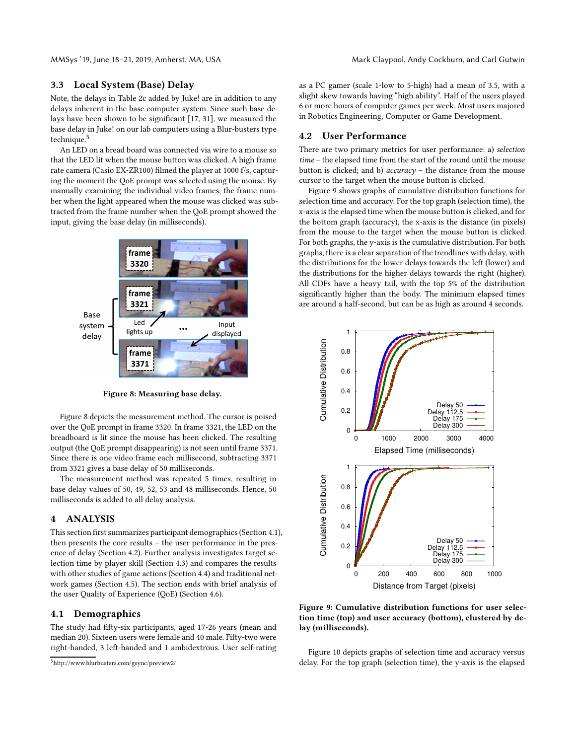### 3.3 Local System (Base) Delay

Note, the delays in Table [2c](#page-4-2) added by Juke! are in addition to any delays inherent in the base computer system. Since such base delays have been shown to be significant [\[17,](#page-10-4) [31\]](#page-10-2), we measured the base delay in Juke! on our lab computers using a Blur-busters type technique.[5](#page-5-1)

An LED on a bread board was connected via wire to a mouse so that the LED lit when the mouse button was clicked. A high frame rate camera (Casio EX-ZR100) filmed the player at 1000 f/s, capturing the moment the QoE prompt was selected using the mouse. By manually examining the individual video frames, the frame number when the light appeared when the mouse was clicked was subtracted from the frame number when the QoE prompt showed the input, giving the base delay (in milliseconds).

<span id="page-5-2"></span>

Figure 8: Measuring base delay.

Figure [8](#page-5-2) depicts the measurement method. The cursor is poised over the QoE prompt in frame 3320. In frame 3321, the LED on the breadboard is lit since the mouse has been clicked. The resulting output (the QoE prompt disappearing) is not seen until frame 3371. Since there is one video frame each millisecond, subtracting 3371 from 3321 gives a base delay of 50 milliseconds.

The measurement method was repeated 5 times, resulting in base delay values of 50, 49, 52, 53 and 48 milliseconds. Hence, 50 milliseconds is added to all delay analysis.

### <span id="page-5-0"></span>4 ANALYSIS

This section first summarizes participant demographics (Section [4.1\)](#page-5-3), then presents the core results – the user performance in the presence of delay (Section [4.2\)](#page-5-4). Further analysis investigates target selection time by player skill (Section [4.3\)](#page-8-0) and compares the results with other studies of game actions (Section [4.4\)](#page-8-1) and traditional network games (Section [4.5\)](#page-9-1). The section ends with brief analysis of the user Quality of Experience (QoE) (Section [4.6\)](#page-9-2).

# <span id="page-5-3"></span>4.1 Demographics

The study had fifty-six participants, aged 17-26 years (mean and median 20). Sixteen users were female and 40 male. Fifty-two were right-handed, 3 left-handed and 1 ambidextrous. User self-rating as a PC gamer (scale 1-low to 5-high) had a mean of 3.5, with a slight skew towards having "high ability". Half of the users played 6 or more hours of computer games per week. Most users majored in Robotics Engineering, Computer or Game Development.

### <span id="page-5-4"></span>4.2 User Performance

There are two primary metrics for user performance: a) selection time – the elapsed time from the start of the round until the mouse button is clicked; and b) accuracy – the distance from the mouse cursor to the target when the mouse button is clicked.

Figure [9](#page-5-5) shows graphs of cumulative distribution functions for selection time and accuracy. For the top graph (selection time), the x-axis is the elapsed time when the mouse button is clicked, and for the bottom graph (accuracy), the x-axis is the distance (in pixels) from the mouse to the target when the mouse button is clicked. For both graphs, the y-axis is the cumulative distribution. For both graphs, there is a clear separation of the trendlines with delay, with the distributions for the lower delays towards the left (lower) and the distributions for the higher delays towards the right (higher). All CDFs have a heavy tail, with the top 5% of the distribution significantly higher than the body. The minimum elapsed times are around a half-second, but can be as high as around 4 seconds.

<span id="page-5-5"></span>

Figure 9: Cumulative distribution functions for user selection time (top) and user accuracy (bottom), clustered by delay (milliseconds).

Figure [10](#page-6-0) depicts graphs of selection time and accuracy versus delay. For the top graph (selection time), the y-axis is the elapsed

<span id="page-5-1"></span><sup>5</sup><http://www.blurbusters.com/gsync/preview2/>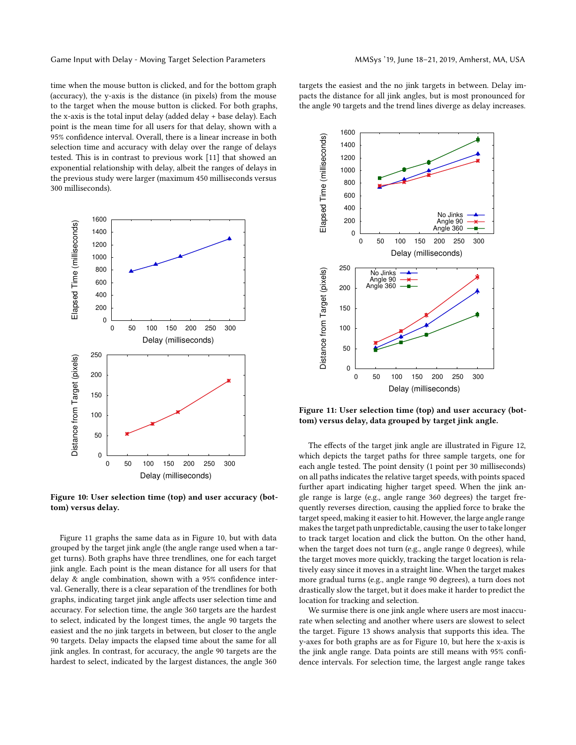Game Input with Delay - Moving Target Selection Parameters MAGys '19, June 18–21, 2019, Amherst, MA, USA

time when the mouse button is clicked, and for the bottom graph (accuracy), the y-axis is the distance (in pixels) from the mouse to the target when the mouse button is clicked. For both graphs, the x-axis is the total input delay (added delay + base delay). Each point is the mean time for all users for that delay, shown with a 95% confidence interval. Overall, there is a linear increase in both selection time and accuracy with delay over the range of delays tested. This is in contrast to previous work [\[11](#page-10-16)] that showed an exponential relationship with delay, albeit the ranges of delays in the previous study were larger (maximum 450 milliseconds versus 300 milliseconds).

<span id="page-6-0"></span>

Figure 10: User selection time (top) and user accuracy (bottom) versus delay.

Figure [11](#page-6-1) graphs the same data as in Figure [10,](#page-6-0) but with data grouped by the target jink angle (the angle range used when a target turns). Both graphs have three trendlines, one for each target jink angle. Each point is the mean distance for all users for that delay & angle combination, shown with a 95% confidence interval. Generally, there is a clear separation of the trendlines for both graphs, indicating target jink angle affects user selection time and accuracy. For selection time, the angle 360 targets are the hardest to select, indicated by the longest times, the angle 90 targets the easiest and the no jink targets in between, but closer to the angle 90 targets. Delay impacts the elapsed time about the same for all jink angles. In contrast, for accuracy, the angle 90 targets are the hardest to select, indicated by the largest distances, the angle 360

targets the easiest and the no jink targets in between. Delay impacts the distance for all jink angles, but is most pronounced for the angle 90 targets and the trend lines diverge as delay increases.

<span id="page-6-1"></span>

Figure 11: User selection time (top) and user accuracy (bottom) versus delay, data grouped by target jink angle.

The effects of the target jink angle are illustrated in Figure [12,](#page-7-0) which depicts the target paths for three sample targets, one for each angle tested. The point density (1 point per 30 milliseconds) on all paths indicates the relative target speeds, with points spaced further apart indicating higher target speed. When the jink angle range is large (e.g., angle range 360 degrees) the target frequently reverses direction, causing the applied force to brake the target speed, making it easier to hit. However, the large angle range makes the target path unpredictable, causing the user to take longer to track target location and click the button. On the other hand, when the target does not turn (e.g., angle range 0 degrees), while the target moves more quickly, tracking the target location is relatively easy since it moves in a straight line. When the target makes more gradual turns (e.g., angle range 90 degrees), a turn does not drastically slow the target, but it does make it harder to predict the location for tracking and selection.

We surmise there is one jink angle where users are most inaccurate when selecting and another where users are slowest to select the target. Figure [13](#page-7-1) shows analysis that supports this idea. The y-axes for both graphs are as for Figure [10,](#page-6-0) but here the x-axis is the jink angle range. Data points are still means with 95% confidence intervals. For selection time, the largest angle range takes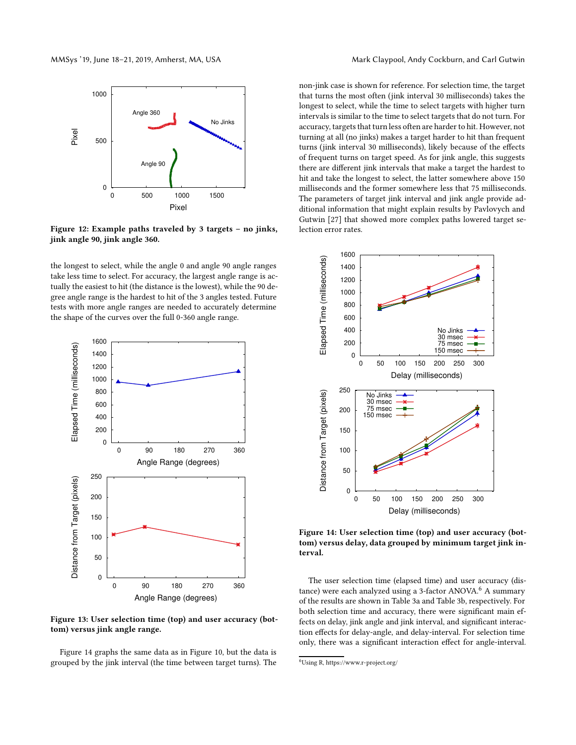<span id="page-7-0"></span>

Figure 12: Example paths traveled by 3 targets – no jinks, jink angle 90, jink angle 360.

the longest to select, while the angle 0 and angle 90 angle ranges take less time to select. For accuracy, the largest angle range is actually the easiest to hit (the distance is the lowest), while the 90 degree angle range is the hardest to hit of the 3 angles tested. Future tests with more angle ranges are needed to accurately determine the shape of the curves over the full 0-360 angle range.

<span id="page-7-1"></span>

Figure 13: User selection time (top) and user accuracy (bottom) versus jink angle range.

Figure [14](#page-7-2) graphs the same data as in Figure [10,](#page-6-0) but the data is grouped by the jink interval (the time between target turns). The

non-jink case is shown for reference. For selection time, the target that turns the most often (jink interval 30 milliseconds) takes the longest to select, while the time to select targets with higher turn intervals is similar to the time to select targets that do not turn. For accuracy, targets that turn less often are harder to hit. However, not turning at all (no jinks) makes a target harder to hit than frequent turns (jink interval 30 milliseconds), likely because of the effects of frequent turns on target speed. As for jink angle, this suggests there are different jink intervals that make a target the hardest to hit and take the longest to select, the latter somewhere above 150 milliseconds and the former somewhere less that 75 milliseconds. The parameters of target jink interval and jink angle provide additional information that might explain results by Pavlovych and Gutwin [\[27](#page-10-14)] that showed more complex paths lowered target selection error rates.

<span id="page-7-2"></span>

Figure 14: User selection time (top) and user accuracy (bottom) versus delay, data grouped by minimum target jink interval.

The user selection time (elapsed time) and user accuracy (dis-tance) were each analyzed using a 3-factor ANOVA.<sup>[6](#page-7-3)</sup> A summary of the results are shown in Table [3a](#page-8-2) and Table [3b,](#page-8-2) respectively. For both selection time and accuracy, there were significant main effects on delay, jink angle and jink interval, and significant interaction effects for delay-angle, and delay-interval. For selection time only, there was a significant interaction effect for angle-interval.

<span id="page-7-3"></span><sup>6</sup>Using R,<https://www.r-project.org/>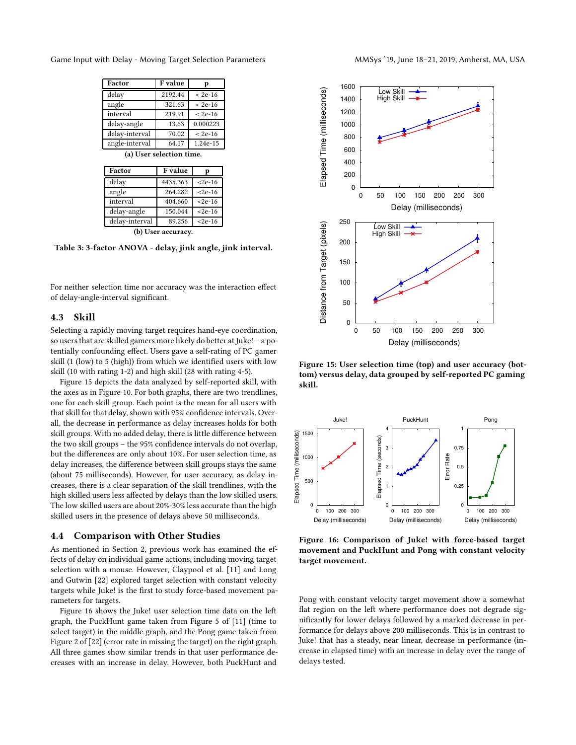<span id="page-8-2"></span>Game Input with Delay - Moving Target Selection Parameters MAGys '19, June 18-21, 2019, Amherst, MA, USA

| Factor                   | F value | р         |  |  |  |
|--------------------------|---------|-----------|--|--|--|
| delay                    | 2192.44 | $< 2e-16$ |  |  |  |
| angle                    | 321.63  | $< 2e-16$ |  |  |  |
| interval                 | 219.91  | $< 2e-16$ |  |  |  |
| delay-angle              | 13.63   | 0.000223  |  |  |  |
| delay-interval           | 70.02   | $< 2e-16$ |  |  |  |
| angle-interval           | 64.17   | 1.24e-15  |  |  |  |
| (a) User selection time. |         |           |  |  |  |
| Factor                   | F value |           |  |  |  |
| . .                      |         |           |  |  |  |

| гасил          | г уание  |              |
|----------------|----------|--------------|
| delay          | 4435.363 | $< 2e-16$    |
| angle          | 264.282  | $< 2e-16$    |
| interval       | 404.660  | $< 2e-16$    |
| delay-angle    | 150.044  | $< 2e-16$    |
| delay-interval | 89.256   | $<$ 2e $-16$ |
| $-1$           |          |              |

(b) User accuracy.

Table 3: 3-factor ANOVA - delay, jink angle, jink interval.

For neither selection time nor accuracy was the interaction effect of delay-angle-interval significant.

### <span id="page-8-0"></span>4.3 Skill

Selecting a rapidly moving target requires hand-eye coordination, so users that are skilled gamers more likely do better at Juke! – a potentially confounding effect. Users gave a self-rating of PC gamer skill (1 (low) to 5 (high)) from which we identified users with low skill (10 with rating 1-2) and high skill (28 with rating 4-5).

Figure [15](#page-8-3) depicts the data analyzed by self-reported skill, with the axes as in Figure [10.](#page-6-0) For both graphs, there are two trendlines, one for each skill group. Each point is the mean for all users with that skill for that delay, shown with 95% confidence intervals. Overall, the decrease in performance as delay increases holds for both skill groups. With no added delay, there is little difference between the two skill groups – the 95% confidence intervals do not overlap, but the differences are only about 10%. For user selection time, as delay increases, the difference between skill groups stays the same (about 75 milliseconds). However, for user accuracy, as delay increases, there is a clear separation of the skill trendlines, with the high skilled users less affected by delays than the low skilled users. The low skilled users are about 20%-30% less accurate than the high skilled users in the presence of delays above 50 milliseconds.

### <span id="page-8-1"></span>4.4 Comparison with Other Studies

As mentioned in Section [2,](#page-1-0) previous work has examined the effects of delay on individual game actions, including moving target selection with a mouse. However, Claypool et al. [\[11\]](#page-10-16) and Long and Gutwin [\[22\]](#page-10-13) explored target selection with constant velocity targets while Juke! is the first to study force-based movement parameters for targets.

Figure [16](#page-8-4) shows the Juke! user selection time data on the left graph, the PuckHunt game taken from Figure 5 of [\[11](#page-10-16)] (time to select target) in the middle graph, and the Pong game taken from Figure 2 of [\[22](#page-10-13)] (error rate in missing the target) on the right graph. All three games show similar trends in that user performance decreases with an increase in delay. However, both PuckHunt and

<span id="page-8-3"></span>

Figure 15: User selection time (top) and user accuracy (bottom) versus delay, data grouped by self-reported PC gaming skill.

<span id="page-8-4"></span>

Figure 16: Comparison of Juke! with force-based target movement and PuckHunt and Pong with constant velocity target movement.

Pong with constant velocity target movement show a somewhat flat region on the left where performance does not degrade significantly for lower delays followed by a marked decrease in performance for delays above 200 milliseconds. This is in contrast to Juke! that has a steady, near linear, decrease in performance (increase in elapsed time) with an increase in delay over the range of delays tested.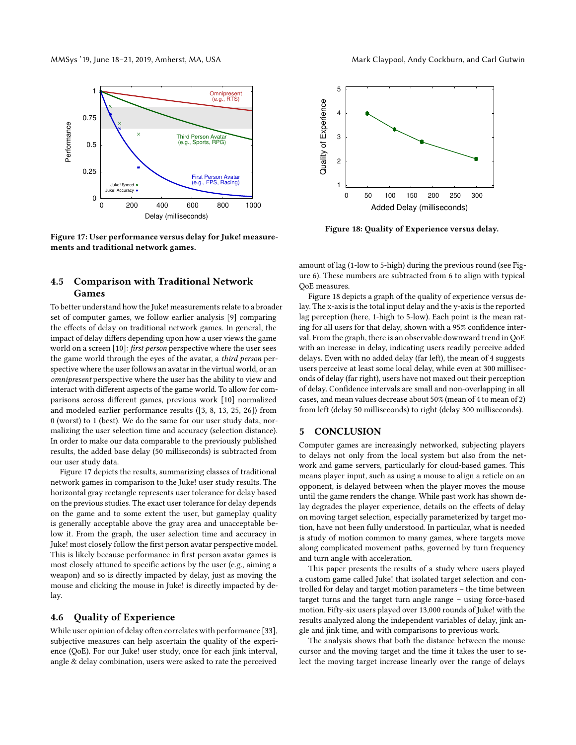<span id="page-9-3"></span>

Figure 17: User performance versus delay for Juke! measurements and traditional network games.

# <span id="page-9-1"></span>4.5 Comparison with Traditional Network Games

To better understand how the Juke! measurements relate to a broader set of computer games, we follow earlier analysis [\[9\]](#page-10-33) comparing the effects of delay on traditional network games. In general, the impact of delay differs depending upon how a user views the game world on a screen [\[10](#page-10-30)]: first person perspective where the user sees the game world through the eyes of the avatar, a third person perspective where the user follows an avatar in the virtual world, or an omnipresent perspective where the user has the ability to view and interact with different aspects of the game world. To allow for comparisons across different games, previous work [\[10](#page-10-30)] normalized and modeled earlier performance results ([\[3](#page-10-6), [8](#page-10-10), [13,](#page-10-9) [25](#page-10-11), [26\]](#page-10-12)) from 0 (worst) to 1 (best). We do the same for our user study data, normalizing the user selection time and accuracy (selection distance). In order to make our data comparable to the previously published results, the added base delay (50 milliseconds) is subtracted from our user study data.

Figure [17](#page-9-3) depicts the results, summarizing classes of traditional network games in comparison to the Juke! user study results. The horizontal gray rectangle represents user tolerance for delay based on the previous studies. The exact user tolerance for delay depends on the game and to some extent the user, but gameplay quality is generally acceptable above the gray area and unacceptable below it. From the graph, the user selection time and accuracy in Juke! most closely follow the first person avatar perspective model. This is likely because performance in first person avatar games is most closely attuned to specific actions by the user (e.g., aiming a weapon) and so is directly impacted by delay, just as moving the mouse and clicking the mouse in Juke! is directly impacted by delay.

### <span id="page-9-2"></span>4.6 Quality of Experience

While user opinion of delay often correlates with performance [\[33\]](#page-10-34), subjective measures can help ascertain the quality of the experience (QoE). For our Juke! user study, once for each jink interval, angle & delay combination, users were asked to rate the perceived

<span id="page-9-4"></span>

Figure 18: Quality of Experience versus delay.

amount of lag (1-low to 5-high) during the previous round (see Figure [6\)](#page-4-3). These numbers are subtracted from 6 to align with typical QoE measures.

Figure [18](#page-9-4) depicts a graph of the quality of experience versus delay. The x-axis is the total input delay and the y-axis is the reported lag perception (here, 1-high to 5-low). Each point is the mean rating for all users for that delay, shown with a 95% confidence interval. From the graph, there is an observable downward trend in QoE with an increase in delay, indicating users readily perceive added delays. Even with no added delay (far left), the mean of 4 suggests users perceive at least some local delay, while even at 300 milliseconds of delay (far right), users have not maxed out their perception of delay. Confidence intervals are small and non-overlapping in all cases, and mean values decrease about 50% (mean of 4 to mean of 2) from left (delay 50 milliseconds) to right (delay 300 milliseconds).

### <span id="page-9-0"></span>5 CONCLUSION

Computer games are increasingly networked, subjecting players to delays not only from the local system but also from the network and game servers, particularly for cloud-based games. This means player input, such as using a mouse to align a reticle on an opponent, is delayed between when the player moves the mouse until the game renders the change. While past work has shown delay degrades the player experience, details on the effects of delay on moving target selection, especially parameterized by target motion, have not been fully understood. In particular, what is needed is study of motion common to many games, where targets move along complicated movement paths, governed by turn frequency and turn angle with acceleration.

This paper presents the results of a study where users played a custom game called Juke! that isolated target selection and controlled for delay and target motion parameters – the time between target turns and the target turn angle range – using force-based motion. Fifty-six users played over 13,000 rounds of Juke! with the results analyzed along the independent variables of delay, jink angle and jink time, and with comparisons to previous work.

The analysis shows that both the distance between the mouse cursor and the moving target and the time it takes the user to select the moving target increase linearly over the range of delays